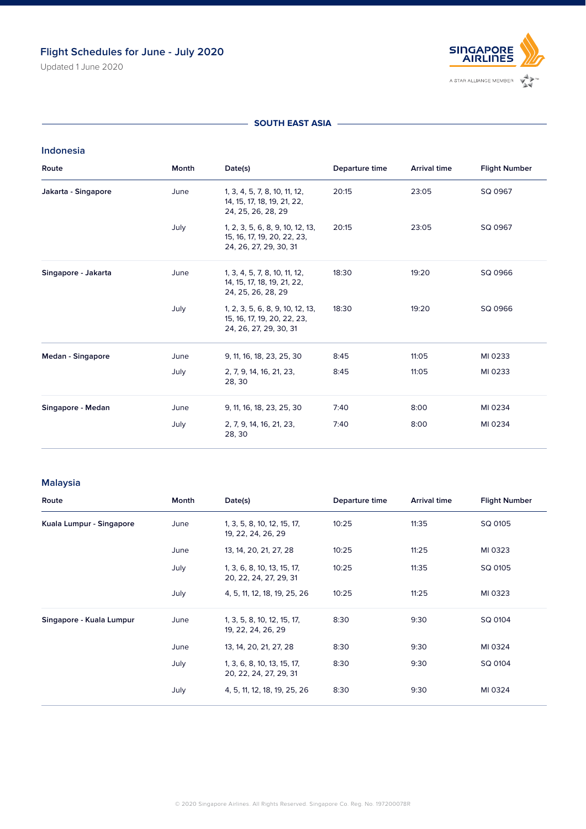# **Flight Schedules for June - July 2020**

Updated 1 June 2020



#### **SOUTH EAST ASIA –**

## **Indonesia**

| Route               | Month | Date(s)                                                                                   | Departure time | <b>Arrival time</b> | <b>Flight Number</b> |
|---------------------|-------|-------------------------------------------------------------------------------------------|----------------|---------------------|----------------------|
| Jakarta - Singapore | June  | 1, 3, 4, 5, 7, 8, 10, 11, 12,<br>14, 15, 17, 18, 19, 21, 22,<br>24, 25, 26, 28, 29        | 20:15          | 23:05               | SQ 0967              |
|                     | July  | 1, 2, 3, 5, 6, 8, 9, 10, 12, 13,<br>15, 16, 17, 19, 20, 22, 23,<br>24, 26, 27, 29, 30, 31 | 20:15          | 23:05               | SQ 0967              |
| Singapore - Jakarta | June  | 1, 3, 4, 5, 7, 8, 10, 11, 12,<br>14, 15, 17, 18, 19, 21, 22,<br>24, 25, 26, 28, 29        | 18:30          | 19:20               | SQ 0966              |
|                     | July  | 1, 2, 3, 5, 6, 8, 9, 10, 12, 13,<br>15, 16, 17, 19, 20, 22, 23,<br>24, 26, 27, 29, 30, 31 | 18:30          | 19:20               | SQ 0966              |
| Medan - Singapore   | June  | 9, 11, 16, 18, 23, 25, 30                                                                 | 8:45           | 11:05               | MI 0233              |
|                     | July  | 2, 7, 9, 14, 16, 21, 23,<br>28, 30                                                        | 8:45           | 11:05               | MI 0233              |
| Singapore - Medan   | June  | 9, 11, 16, 18, 23, 25, 30                                                                 | 7:40           | 8:00                | MI 0234              |
|                     | July  | 2, 7, 9, 14, 16, 21, 23,<br>28, 30                                                        | 7:40           | 8:00                | MI 0234              |

# **Malaysia**

| Route                    | Month | Date(s)                                               | Departure time | <b>Arrival time</b> | <b>Flight Number</b> |
|--------------------------|-------|-------------------------------------------------------|----------------|---------------------|----------------------|
| Kuala Lumpur - Singapore | June  | 1, 3, 5, 8, 10, 12, 15, 17,<br>19, 22, 24, 26, 29     | 10:25          | 11:35               | SQ 0105              |
|                          | June  | 13, 14, 20, 21, 27, 28                                | 10:25          | 11:25               | MI 0323              |
|                          | July  | 1, 3, 6, 8, 10, 13, 15, 17,<br>20, 22, 24, 27, 29, 31 | 10:25          | 11:35               | SQ 0105              |
|                          | July  | 4, 5, 11, 12, 18, 19, 25, 26                          | 10:25          | 11:25               | MI 0323              |
| Singapore - Kuala Lumpur | June  | 1, 3, 5, 8, 10, 12, 15, 17,<br>19, 22, 24, 26, 29     | 8:30           | 9:30                | SQ 0104              |
|                          | June  | 13, 14, 20, 21, 27, 28                                | 8:30           | 9:30                | MI 0324              |
|                          | July  | 1, 3, 6, 8, 10, 13, 15, 17,<br>20, 22, 24, 27, 29, 31 | 8:30           | 9:30                | SQ 0104              |
|                          | July  | 4, 5, 11, 12, 18, 19, 25, 26                          | 8:30           | 9:30                | MI 0324              |